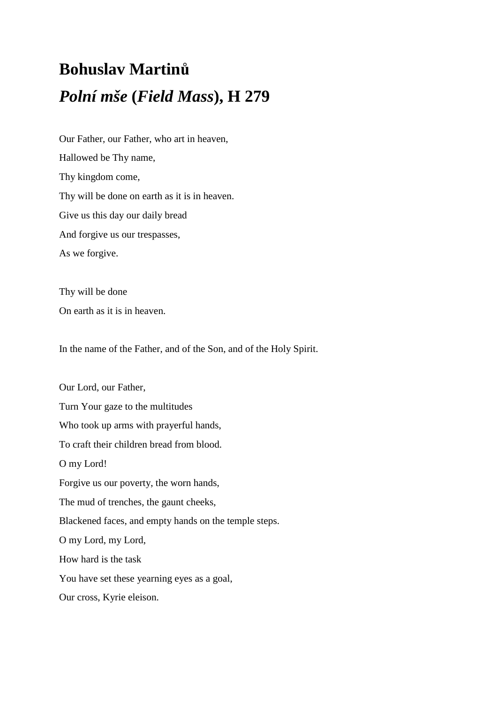## **Bohuslav Martinů** *Polní mše* **(***Field Mass***), H 279**

Our Father, our Father, who art in heaven, Hallowed be Thy name, Thy kingdom come, Thy will be done on earth as it is in heaven. Give us this day our daily bread And forgive us our trespasses, As we forgive.

Thy will be done On earth as it is in heaven.

In the name of the Father, and of the Son, and of the Holy Spirit.

Our Lord, our Father, Turn Your gaze to the multitudes Who took up arms with prayerful hands, To craft their children bread from blood. O my Lord! Forgive us our poverty, the worn hands, The mud of trenches, the gaunt cheeks, Blackened faces, and empty hands on the temple steps. O my Lord, my Lord, How hard is the task You have set these yearning eyes as a goal, Our cross, Kyrie eleison.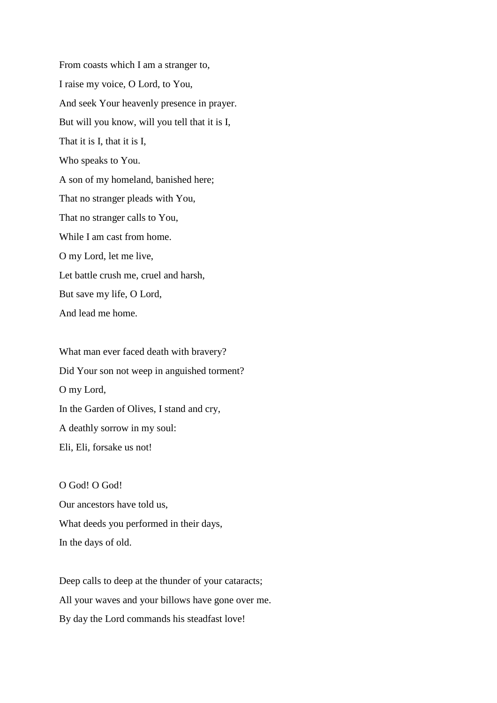From coasts which I am a stranger to, I raise my voice, O Lord, to You, And seek Your heavenly presence in prayer. But will you know, will you tell that it is I, That it is I, that it is I, Who speaks to You. A son of my homeland, banished here; That no stranger pleads with You, That no stranger calls to You, While I am cast from home. O my Lord, let me live, Let battle crush me, cruel and harsh, But save my life, O Lord, And lead me home.

What man ever faced death with bravery? Did Your son not weep in anguished torment? O my Lord, In the Garden of Olives, I stand and cry, A deathly sorrow in my soul: Eli, Eli, forsake us not!

O God! O God! Our ancestors have told us, What deeds you performed in their days, In the days of old.

Deep calls to deep at the thunder of your cataracts; All your waves and your billows have gone over me. By day the Lord commands his steadfast love!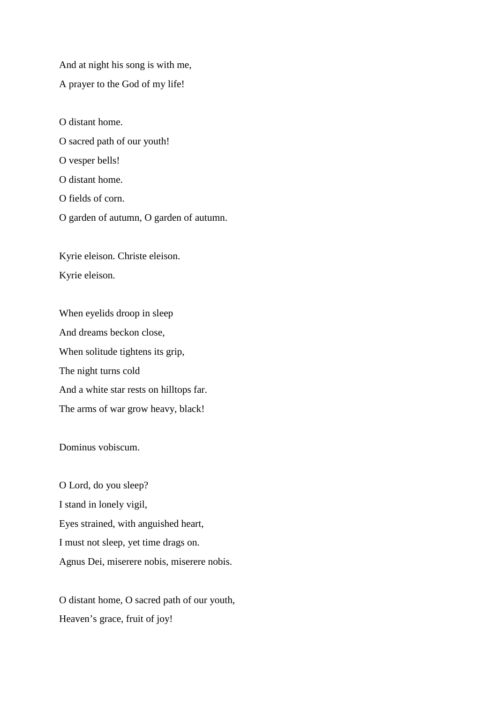And at night his song is with me,

A prayer to the God of my life!

O distant home.

O sacred path of our youth!

O vesper bells!

O distant home.

O fields of corn.

O garden of autumn, O garden of autumn.

Kyrie eleison. Christe eleison. Kyrie eleison.

When eyelids droop in sleep And dreams beckon close, When solitude tightens its grip, The night turns cold And a white star rests on hilltops far. The arms of war grow heavy, black!

Dominus vobiscum.

O Lord, do you sleep? I stand in lonely vigil, Eyes strained, with anguished heart, I must not sleep, yet time drags on. Agnus Dei, miserere nobis, miserere nobis.

O distant home, O sacred path of our youth, Heaven's grace, fruit of joy!